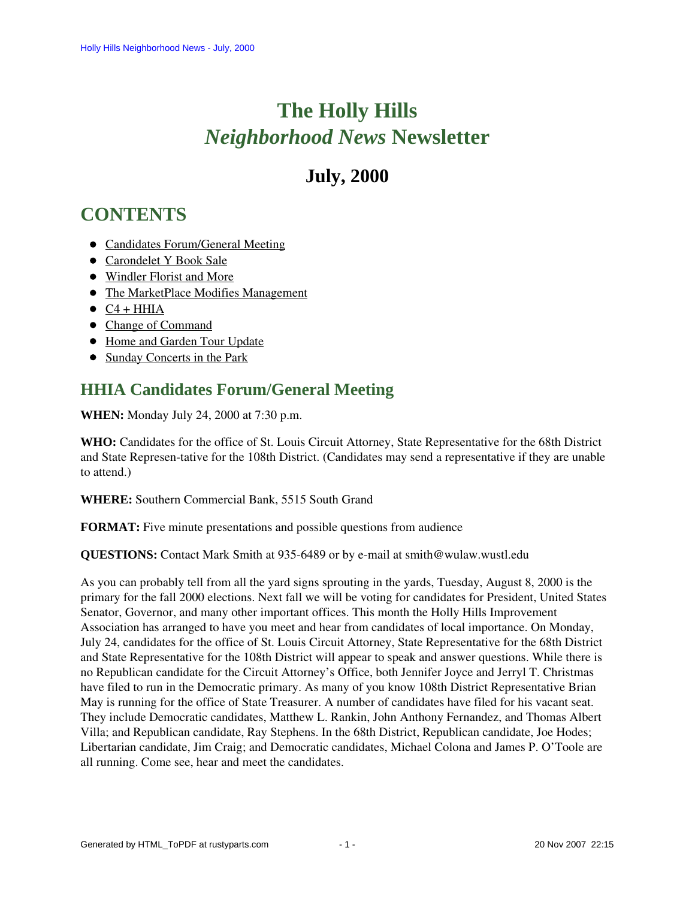# **The Holly Hills**  *Neighborhood News* **Newsletter**

## **July, 2000**

## <span id="page-0-1"></span>**CONTENTS**

- [Candidates Forum/General Meeting](#page-0-0)
- [Carondelet Y Book Sale](#page-1-0)
- [Windler Florist and More](#page-1-1)
- [The MarketPlace Modifies Management](#page-1-2)
- $\bullet$   $C4 + HHA$
- [Change of Command](#page-2-0)
- [Home and Garden Tour Update](#page-2-1)
- [Sunday Concerts in the Park](#page-3-0)

## <span id="page-0-0"></span>**HHIA Candidates Forum/General Meeting**

**WHEN:** Monday July 24, 2000 at 7:30 p.m.

**WHO:** Candidates for the office of St. Louis Circuit Attorney, State Representative for the 68th District and State Represen-tative for the 108th District. (Candidates may send a representative if they are unable to attend.)

**WHERE:** Southern Commercial Bank, 5515 South Grand

**FORMAT:** Five minute presentations and possible questions from audience

**QUESTIONS:** Contact Mark Smith at 935-6489 or by e-mail at smith@wulaw.wustl.edu

As you can probably tell from all the yard signs sprouting in the yards, Tuesday, August 8, 2000 is the primary for the fall 2000 elections. Next fall we will be voting for candidates for President, United States Senator, Governor, and many other important offices. This month the Holly Hills Improvement Association has arranged to have you meet and hear from candidates of local importance. On Monday, July 24, candidates for the office of St. Louis Circuit Attorney, State Representative for the 68th District and State Representative for the 108th District will appear to speak and answer questions. While there is no Republican candidate for the Circuit Attorney's Office, both Jennifer Joyce and Jerryl T. Christmas have filed to run in the Democratic primary. As many of you know 108th District Representative Brian May is running for the office of State Treasurer. A number of candidates have filed for his vacant seat. They include Democratic candidates, Matthew L. Rankin, John Anthony Fernandez, and Thomas Albert Villa; and Republican candidate, Ray Stephens. In the 68th District, Republican candidate, Joe Hodes; Libertarian candidate, Jim Craig; and Democratic candidates, Michael Colona and James P. O'Toole are all running. Come see, hear and meet the candidates.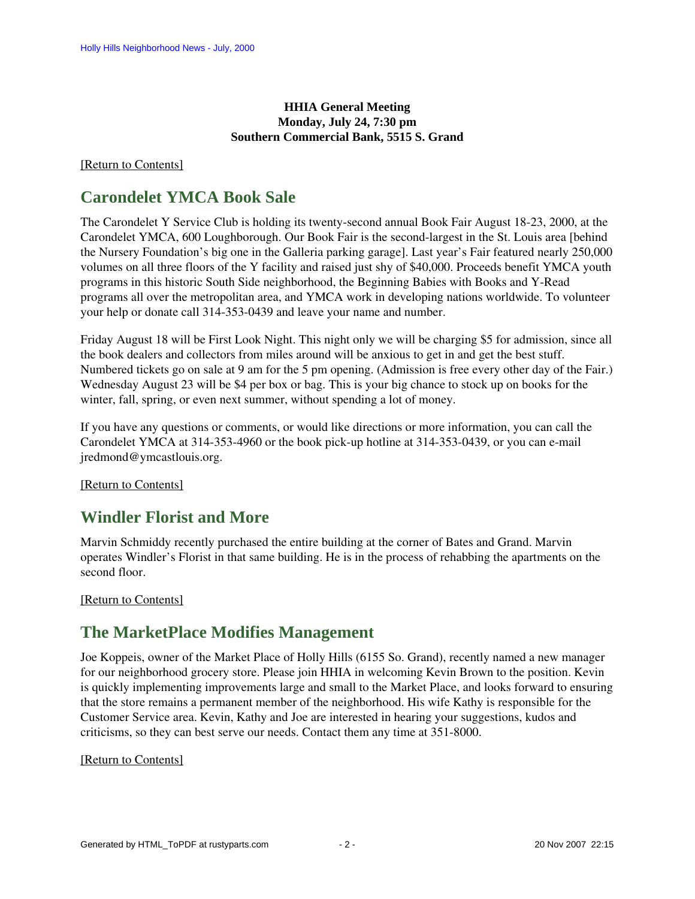#### **HHIA General Meeting Monday, July 24, 7:30 pm Southern Commercial Bank, 5515 S. Grand**

#### <span id="page-1-0"></span>[\[Return to Contents\]](#page-0-1)

### **Carondelet YMCA Book Sale**

The Carondelet Y Service Club is holding its twenty-second annual Book Fair August 18-23, 2000, at the Carondelet YMCA, 600 Loughborough. Our Book Fair is the second-largest in the St. Louis area [behind the Nursery Foundation's big one in the Galleria parking garage]. Last year's Fair featured nearly 250,000 volumes on all three floors of the Y facility and raised just shy of \$40,000. Proceeds benefit YMCA youth programs in this historic South Side neighborhood, the Beginning Babies with Books and Y-Read programs all over the metropolitan area, and YMCA work in developing nations worldwide. To volunteer your help or donate call 314-353-0439 and leave your name and number.

Friday August 18 will be First Look Night. This night only we will be charging \$5 for admission, since all the book dealers and collectors from miles around will be anxious to get in and get the best stuff. Numbered tickets go on sale at 9 am for the 5 pm opening. (Admission is free every other day of the Fair.) Wednesday August 23 will be \$4 per box or bag. This is your big chance to stock up on books for the winter, fall, spring, or even next summer, without spending a lot of money.

If you have any questions or comments, or would like directions or more information, you can call the Carondelet YMCA at 314-353-4960 or the book pick-up hotline at 314-353-0439, or you can e-mail jredmond@ymcastlouis.org.

[\[Return to Contents\]](#page-0-1)

## <span id="page-1-1"></span>**Windler Florist and More**

Marvin Schmiddy recently purchased the entire building at the corner of Bates and Grand. Marvin operates Windler's Florist in that same building. He is in the process of rehabbing the apartments on the second floor.

<span id="page-1-2"></span>[\[Return to Contents\]](#page-0-1)

## **The MarketPlace Modifies Management**

Joe Koppeis, owner of the Market Place of Holly Hills (6155 So. Grand), recently named a new manager for our neighborhood grocery store. Please join HHIA in welcoming Kevin Brown to the position. Kevin is quickly implementing improvements large and small to the Market Place, and looks forward to ensuring that the store remains a permanent member of the neighborhood. His wife Kathy is responsible for the Customer Service area. Kevin, Kathy and Joe are interested in hearing your suggestions, kudos and criticisms, so they can best serve our needs. Contact them any time at 351-8000.

#### <span id="page-1-3"></span>[\[Return to Contents\]](#page-0-1)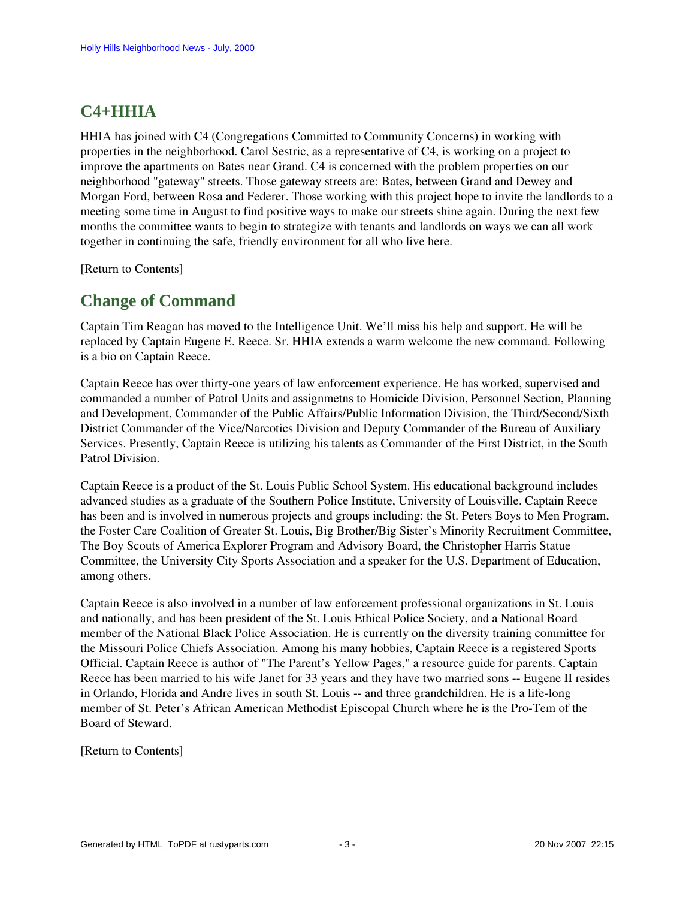## **C4+HHIA**

HHIA has joined with C4 (Congregations Committed to Community Concerns) in working with properties in the neighborhood. Carol Sestric, as a representative of C4, is working on a project to improve the apartments on Bates near Grand. C4 is concerned with the problem properties on our neighborhood "gateway" streets. Those gateway streets are: Bates, between Grand and Dewey and Morgan Ford, between Rosa and Federer. Those working with this project hope to invite the landlords to a meeting some time in August to find positive ways to make our streets shine again. During the next few months the committee wants to begin to strategize with tenants and landlords on ways we can all work together in continuing the safe, friendly environment for all who live here.

<span id="page-2-0"></span>[\[Return to Contents\]](#page-0-1)

## **Change of Command**

Captain Tim Reagan has moved to the Intelligence Unit. We'll miss his help and support. He will be replaced by Captain Eugene E. Reece. Sr. HHIA extends a warm welcome the new command. Following is a bio on Captain Reece.

Captain Reece has over thirty-one years of law enforcement experience. He has worked, supervised and commanded a number of Patrol Units and assignmetns to Homicide Division, Personnel Section, Planning and Development, Commander of the Public Affairs/Public Information Division, the Third/Second/Sixth District Commander of the Vice/Narcotics Division and Deputy Commander of the Bureau of Auxiliary Services. Presently, Captain Reece is utilizing his talents as Commander of the First District, in the South Patrol Division.

Captain Reece is a product of the St. Louis Public School System. His educational background includes advanced studies as a graduate of the Southern Police Institute, University of Louisville. Captain Reece has been and is involved in numerous projects and groups including: the St. Peters Boys to Men Program, the Foster Care Coalition of Greater St. Louis, Big Brother/Big Sister's Minority Recruitment Committee, The Boy Scouts of America Explorer Program and Advisory Board, the Christopher Harris Statue Committee, the University City Sports Association and a speaker for the U.S. Department of Education, among others.

Captain Reece is also involved in a number of law enforcement professional organizations in St. Louis and nationally, and has been president of the St. Louis Ethical Police Society, and a National Board member of the National Black Police Association. He is currently on the diversity training committee for the Missouri Police Chiefs Association. Among his many hobbies, Captain Reece is a registered Sports Official. Captain Reece is author of "The Parent's Yellow Pages," a resource guide for parents. Captain Reece has been married to his wife Janet for 33 years and they have two married sons -- Eugene II resides in Orlando, Florida and Andre lives in south St. Louis -- and three grandchildren. He is a life-long member of St. Peter's African American Methodist Episcopal Church where he is the Pro-Tem of the Board of Steward.

#### <span id="page-2-1"></span>[\[Return to Contents\]](#page-0-1)